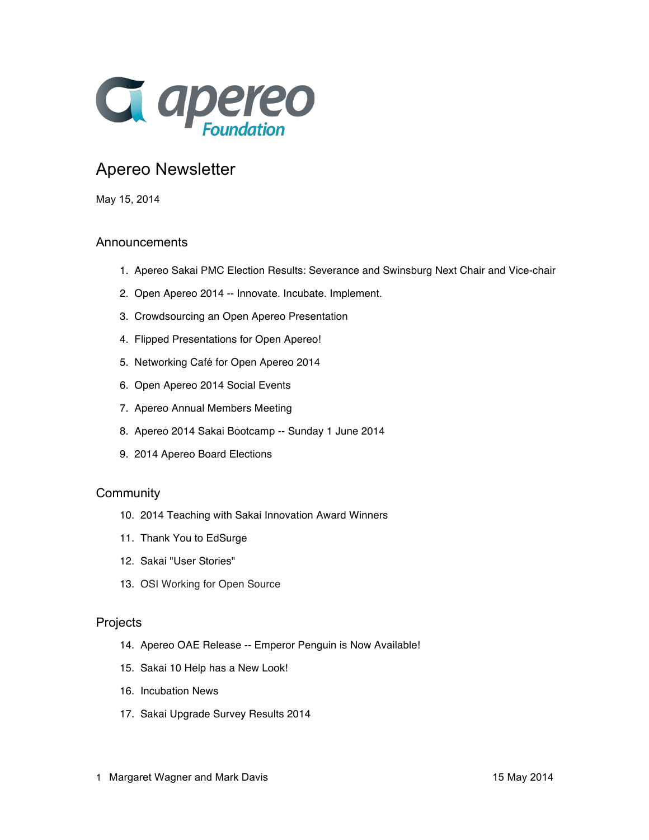

# Apereo Newsletter

May 15, 2014

#### Announcements

- 1. Apereo Sakai PMC Election Results: Severance and Swinsburg Next Chair and Vice-chair
- 2. Open Apereo 2014 -- Innovate. Incubate. Implement.
- 3. Crowdsourcing an Open Apereo Presentation
- 4. Flipped Presentations for Open Apereo!
- 5. Networking Café for Open Apereo 2014
- 6. Open Apereo 2014 Social Events
- 7. Apereo Annual Members Meeting
- 8. Apereo 2014 Sakai Bootcamp -- Sunday 1 June 2014
- 9. 2014 Apereo Board Elections

#### **Community**

- 10. 2014 Teaching with Sakai Innovation Award Winners
- 11. Thank You to EdSurge
- 12. Sakai "User Stories"
- 13. OSI Working for Open Source

#### Projects

- 14. Apereo OAE Release -- Emperor Penguin is Now Available!
- 15. Sakai 10 Help has a New Look!
- 16. Incubation News
- 17. Sakai Upgrade Survey Results 2014

#### 1 Margaret Wagner and Mark Davis 15 May 2014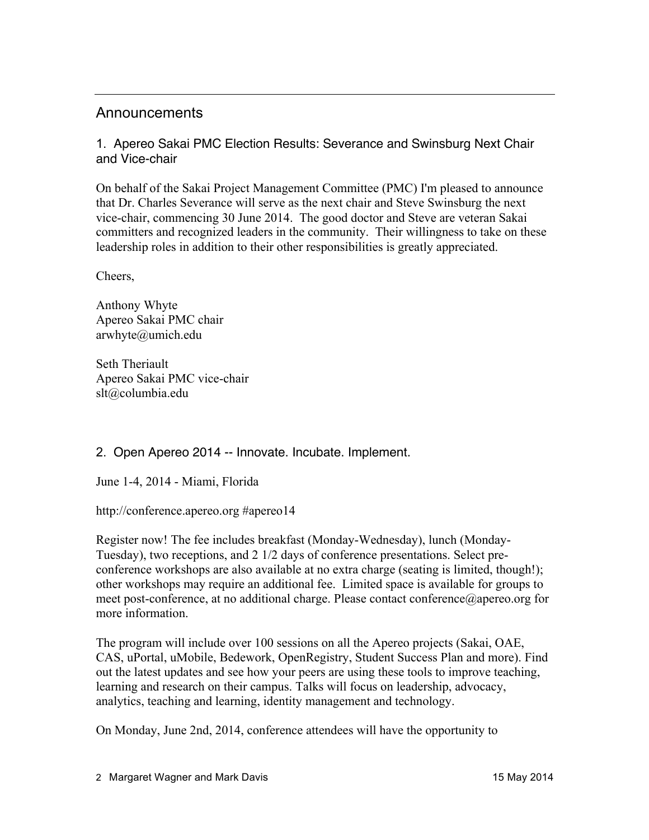# Announcements

1. Apereo Sakai PMC Election Results: Severance and Swinsburg Next Chair and Vice-chair

On behalf of the Sakai Project Management Committee (PMC) I'm pleased to announce that Dr. Charles Severance will serve as the next chair and Steve Swinsburg the next vice-chair, commencing 30 June 2014. The good doctor and Steve are veteran Sakai committers and recognized leaders in the community. Their willingness to take on these leadership roles in addition to their other responsibilities is greatly appreciated.

Cheers,

Anthony Whyte Apereo Sakai PMC chair arwhyte@umich.edu

Seth Theriault Apereo Sakai PMC vice-chair slt@columbia.edu

# 2. Open Apereo 2014 -- Innovate. Incubate. Implement.

June 1-4, 2014 - Miami, Florida

http://conference.apereo.org #apereo14

Register now! The fee includes breakfast (Monday-Wednesday), lunch (Monday-Tuesday), two receptions, and 2 1/2 days of conference presentations. Select preconference workshops are also available at no extra charge (seating is limited, though!); other workshops may require an additional fee. Limited space is available for groups to meet post-conference, at no additional charge. Please contact conference@apereo.org for more information.

The program will include over 100 sessions on all the Apereo projects (Sakai, OAE, CAS, uPortal, uMobile, Bedework, OpenRegistry, Student Success Plan and more). Find out the latest updates and see how your peers are using these tools to improve teaching, learning and research on their campus. Talks will focus on leadership, advocacy, analytics, teaching and learning, identity management and technology.

On Monday, June 2nd, 2014, conference attendees will have the opportunity to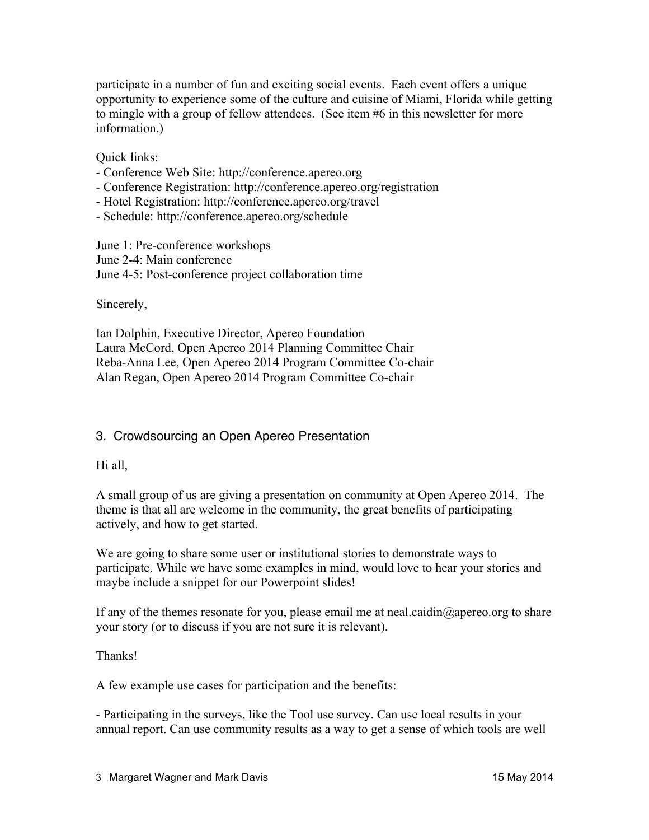participate in a number of fun and exciting social events. Each event offers a unique opportunity to experience some of the culture and cuisine of Miami, Florida while getting to mingle with a group of fellow attendees. (See item #6 in this newsletter for more information.)

Quick links:

- Conference Web Site: http://conference.apereo.org
- Conference Registration: http://conference.apereo.org/registration
- Hotel Registration: http://conference.apereo.org/travel
- Schedule: http://conference.apereo.org/schedule

June 1: Pre-conference workshops June 2-4: Main conference June 4-5: Post-conference project collaboration time

Sincerely,

Ian Dolphin, Executive Director, Apereo Foundation Laura McCord, Open Apereo 2014 Planning Committee Chair Reba-Anna Lee, Open Apereo 2014 Program Committee Co-chair Alan Regan, Open Apereo 2014 Program Committee Co-chair

### 3. Crowdsourcing an Open Apereo Presentation

Hi all,

A small group of us are giving a presentation on community at Open Apereo 2014. The theme is that all are welcome in the community, the great benefits of participating actively, and how to get started.

We are going to share some user or institutional stories to demonstrate ways to participate. While we have some examples in mind, would love to hear your stories and maybe include a snippet for our Powerpoint slides!

If any of the themes resonate for you, please email me at neal.caidin@apereo.org to share your story (or to discuss if you are not sure it is relevant).

Thanks!

A few example use cases for participation and the benefits:

- Participating in the surveys, like the Tool use survey. Can use local results in your annual report. Can use community results as a way to get a sense of which tools are well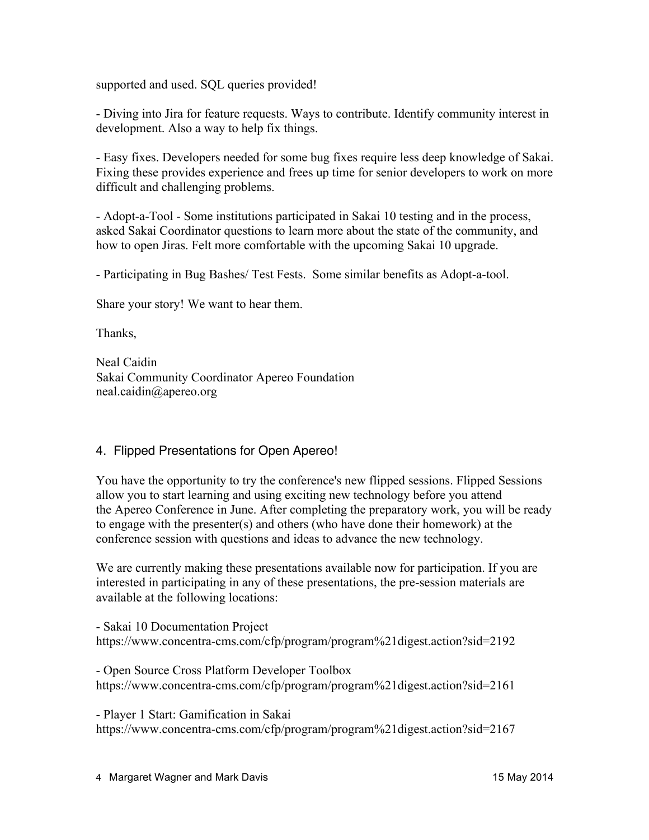supported and used. SQL queries provided!

- Diving into Jira for feature requests. Ways to contribute. Identify community interest in development. Also a way to help fix things.

- Easy fixes. Developers needed for some bug fixes require less deep knowledge of Sakai. Fixing these provides experience and frees up time for senior developers to work on more difficult and challenging problems.

- Adopt-a-Tool - Some institutions participated in Sakai 10 testing and in the process, asked Sakai Coordinator questions to learn more about the state of the community, and how to open Jiras. Felt more comfortable with the upcoming Sakai 10 upgrade.

- Participating in Bug Bashes/ Test Fests. Some similar benefits as Adopt-a-tool.

Share your story! We want to hear them.

Thanks,

Neal Caidin Sakai Community Coordinator Apereo Foundation neal.caidin@apereo.org

### 4. Flipped Presentations for Open Apereo!

You have the opportunity to try the conference's new flipped sessions. Flipped Sessions allow you to start learning and using exciting new technology before you attend the Apereo Conference in June. After completing the preparatory work, you will be ready to engage with the presenter(s) and others (who have done their homework) at the conference session with questions and ideas to advance the new technology.

We are currently making these presentations available now for participation. If you are interested in participating in any of these presentations, the pre-session materials are available at the following locations:

- Sakai 10 Documentation Project https://www.concentra-cms.com/cfp/program/program%21digest.action?sid=2192

- Open Source Cross Platform Developer Toolbox https://www.concentra-cms.com/cfp/program/program%21digest.action?sid=2161

- Player 1 Start: Gamification in Sakai https://www.concentra-cms.com/cfp/program/program%21digest.action?sid=2167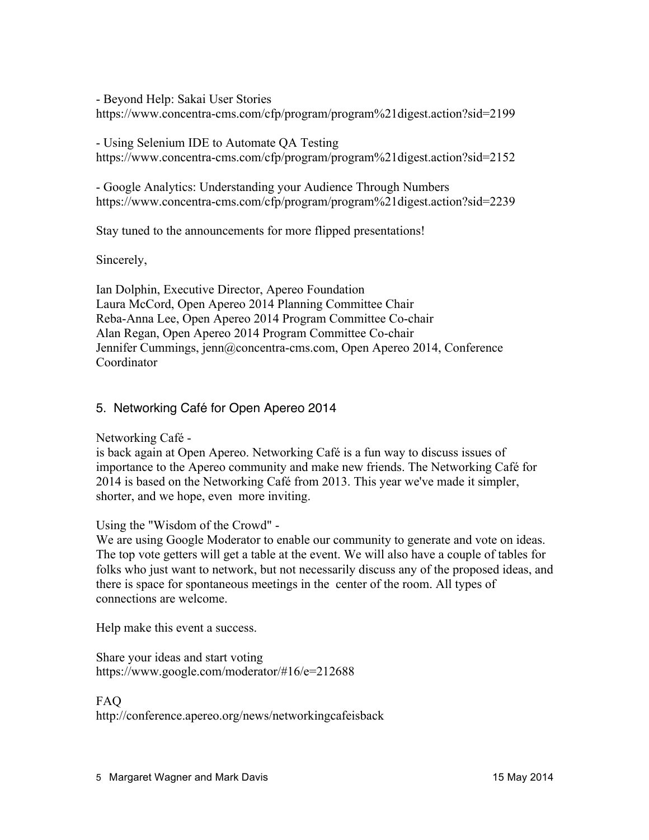- Beyond Help: Sakai User Stories

https://www.concentra-cms.com/cfp/program/program%21digest.action?sid=2199

- Using Selenium IDE to Automate QA Testing https://www.concentra-cms.com/cfp/program/program%21digest.action?sid=2152

- Google Analytics: Understanding your Audience Through Numbers https://www.concentra-cms.com/cfp/program/program%21digest.action?sid=2239

Stay tuned to the announcements for more flipped presentations!

Sincerely,

Ian Dolphin, Executive Director, Apereo Foundation Laura McCord, Open Apereo 2014 Planning Committee Chair Reba-Anna Lee, Open Apereo 2014 Program Committee Co-chair Alan Regan, Open Apereo 2014 Program Committee Co-chair Jennifer Cummings, jenn@concentra-cms.com, Open Apereo 2014, Conference Coordinator

### 5. Networking Café for Open Apereo 2014

Networking Café -

is back again at Open Apereo. Networking Café is a fun way to discuss issues of importance to the Apereo community and make new friends. The Networking Café for 2014 is based on the Networking Café from 2013. This year we've made it simpler, shorter, and we hope, even more inviting.

Using the "Wisdom of the Crowd" -

We are using Google Moderator to enable our community to generate and vote on ideas. The top vote getters will get a table at the event. We will also have a couple of tables for folks who just want to network, but not necessarily discuss any of the proposed ideas, and there is space for spontaneous meetings in the center of the room. All types of connections are welcome.

Help make this event a success.

Share your ideas and start voting https://www.google.com/moderator/#16/e=212688

FAQ http://conference.apereo.org/news/networkingcafeisback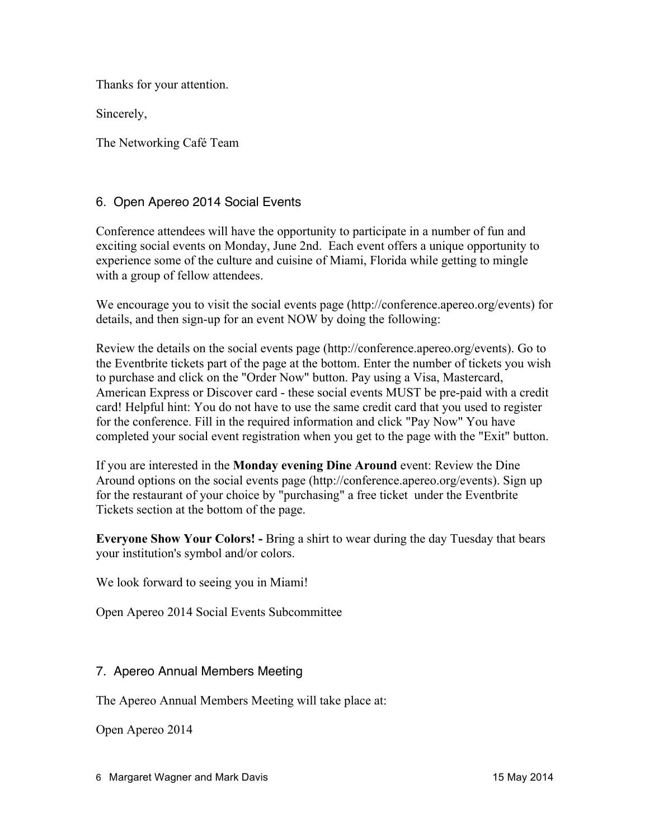Thanks for your attention.

Sincerely,

The Networking Café Team

### 6. Open Apereo 2014 Social Events

Conference attendees will have the opportunity to participate in a number of fun and exciting social events on Monday, June 2nd. Each event offers a unique opportunity to experience some of the culture and cuisine of Miami, Florida while getting to mingle with a group of fellow attendees.

We encourage you to visit the social events page (http://conference.apereo.org/events) for details, and then sign-up for an event NOW by doing the following:

Review the details on the social events page (http://conference.apereo.org/events). Go to the Eventbrite tickets part of the page at the bottom. Enter the number of tickets you wish to purchase and click on the "Order Now" button. Pay using a Visa, Mastercard, American Express or Discover card - these social events MUST be pre-paid with a credit card! Helpful hint: You do not have to use the same credit card that you used to register for the conference. Fill in the required information and click "Pay Now" You have completed your social event registration when you get to the page with the "Exit" button.

If you are interested in the **Monday evening Dine Around** event: Review the Dine Around options on the social events page (http://conference.apereo.org/events). Sign up for the restaurant of your choice by "purchasing" a free ticket under the Eventbrite Tickets section at the bottom of the page.

**Everyone Show Your Colors! -** Bring a shirt to wear during the day Tuesday that bears your institution's symbol and/or colors.

We look forward to seeing you in Miami!

Open Apereo 2014 Social Events Subcommittee

### 7. Apereo Annual Members Meeting

The Apereo Annual Members Meeting will take place at:

Open Apereo 2014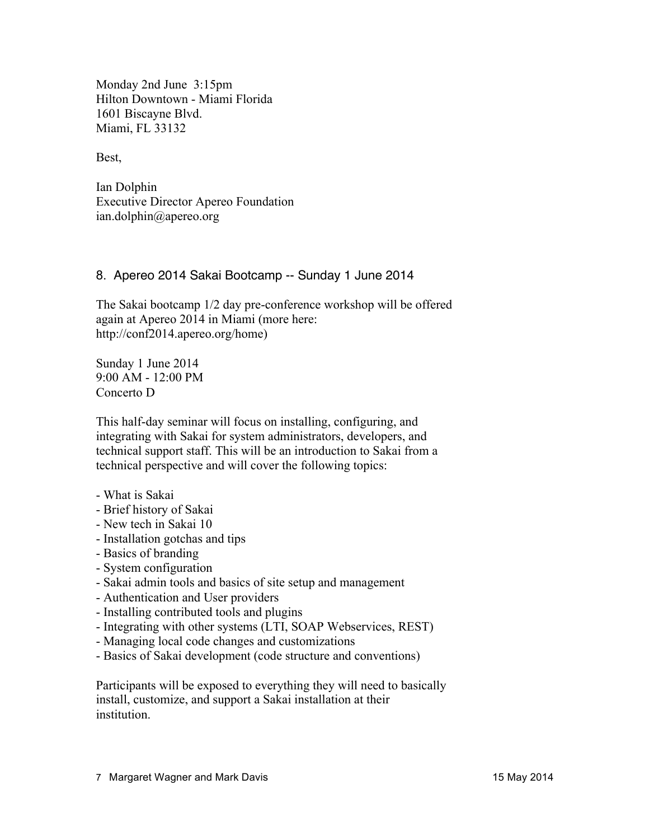Monday 2nd June 3:15pm Hilton Downtown - Miami Florida 1601 Biscayne Blvd. Miami, FL 33132

Best,

Ian Dolphin Executive Director Apereo Foundation ian.dolphin@apereo.org

#### 8. Apereo 2014 Sakai Bootcamp -- Sunday 1 June 2014

The Sakai bootcamp 1/2 day pre-conference workshop will be offered again at Apereo 2014 in Miami (more here: http://conf2014.apereo.org/home)

Sunday 1 June 2014 9:00 AM - 12:00 PM Concerto D

This half-day seminar will focus on installing, configuring, and integrating with Sakai for system administrators, developers, and technical support staff. This will be an introduction to Sakai from a technical perspective and will cover the following topics:

- What is Sakai
- Brief history of Sakai
- New tech in Sakai 10
- Installation gotchas and tips
- Basics of branding
- System configuration
- Sakai admin tools and basics of site setup and management
- Authentication and User providers
- Installing contributed tools and plugins
- Integrating with other systems (LTI, SOAP Webservices, REST)
- Managing local code changes and customizations
- Basics of Sakai development (code structure and conventions)

Participants will be exposed to everything they will need to basically install, customize, and support a Sakai installation at their institution.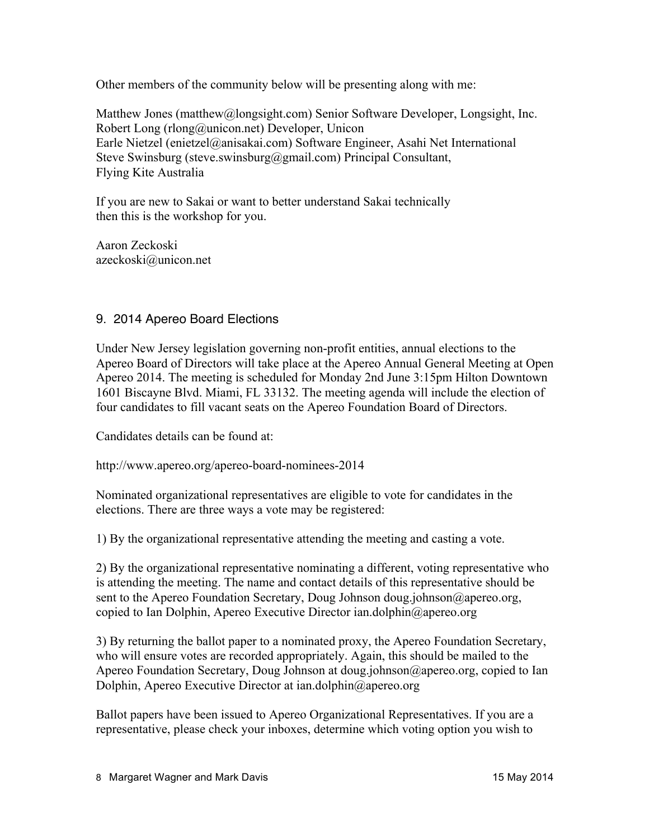Other members of the community below will be presenting along with me:

Matthew Jones (matthew@longsight.com) Senior Software Developer, Longsight, Inc. Robert Long (rlong@unicon.net) Developer, Unicon Earle Nietzel (enietzel@anisakai.com) Software Engineer, Asahi Net International Steve Swinsburg (steve.swinsburg@gmail.com) Principal Consultant, Flying Kite Australia

If you are new to Sakai or want to better understand Sakai technically then this is the workshop for you.

Aaron Zeckoski azeckoski@unicon.net

### 9. 2014 Apereo Board Elections

Under New Jersey legislation governing non-profit entities, annual elections to the Apereo Board of Directors will take place at the Apereo Annual General Meeting at Open Apereo 2014. The meeting is scheduled for Monday 2nd June 3:15pm Hilton Downtown 1601 Biscayne Blvd. Miami, FL 33132. The meeting agenda will include the election of four candidates to fill vacant seats on the Apereo Foundation Board of Directors.

Candidates details can be found at:

http://www.apereo.org/apereo-board-nominees-2014

Nominated organizational representatives are eligible to vote for candidates in the elections. There are three ways a vote may be registered:

1) By the organizational representative attending the meeting and casting a vote.

2) By the organizational representative nominating a different, voting representative who is attending the meeting. The name and contact details of this representative should be sent to the Apereo Foundation Secretary, Doug Johnson doug.johnson@apereo.org, copied to Ian Dolphin, Apereo Executive Director ian.dolphin@apereo.org

3) By returning the ballot paper to a nominated proxy, the Apereo Foundation Secretary, who will ensure votes are recorded appropriately. Again, this should be mailed to the Apereo Foundation Secretary, Doug Johnson at doug.johnson@apereo.org, copied to Ian Dolphin, Apereo Executive Director at ian.dolphin@apereo.org

Ballot papers have been issued to Apereo Organizational Representatives. If you are a representative, please check your inboxes, determine which voting option you wish to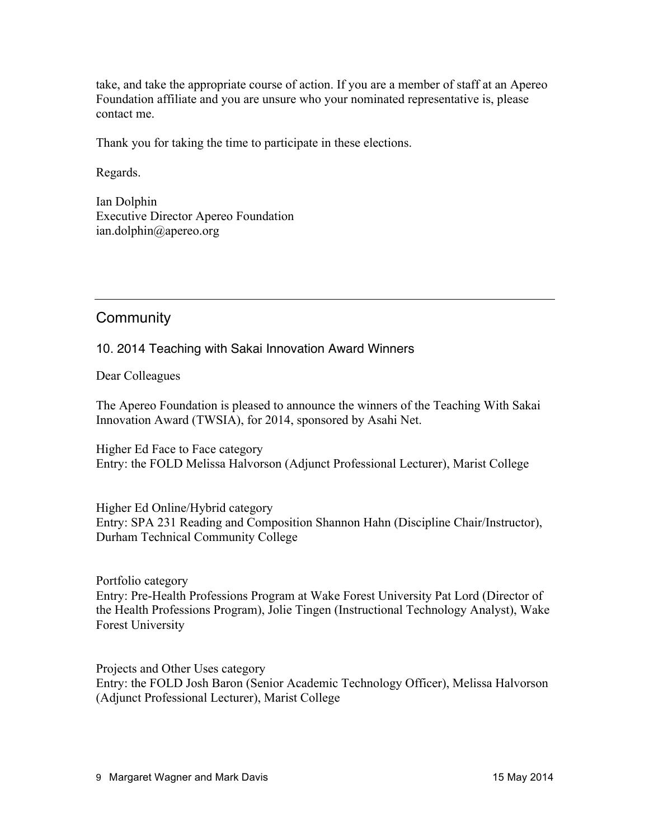take, and take the appropriate course of action. If you are a member of staff at an Apereo Foundation affiliate and you are unsure who your nominated representative is, please contact me.

Thank you for taking the time to participate in these elections.

Regards.

Ian Dolphin Executive Director Apereo Foundation ian.dolphin@apereo.org

# **Community**

#### 10. 2014 Teaching with Sakai Innovation Award Winners

Dear Colleagues

The Apereo Foundation is pleased to announce the winners of the Teaching With Sakai Innovation Award (TWSIA), for 2014, sponsored by Asahi Net.

Higher Ed Face to Face category Entry: the FOLD Melissa Halvorson (Adjunct Professional Lecturer), Marist College

Higher Ed Online/Hybrid category Entry: SPA 231 Reading and Composition Shannon Hahn (Discipline Chair/Instructor), Durham Technical Community College

Portfolio category Entry: Pre-Health Professions Program at Wake Forest University Pat Lord (Director of the Health Professions Program), Jolie Tingen (Instructional Technology Analyst), Wake Forest University

Projects and Other Uses category Entry: the FOLD Josh Baron (Senior Academic Technology Officer), Melissa Halvorson (Adjunct Professional Lecturer), Marist College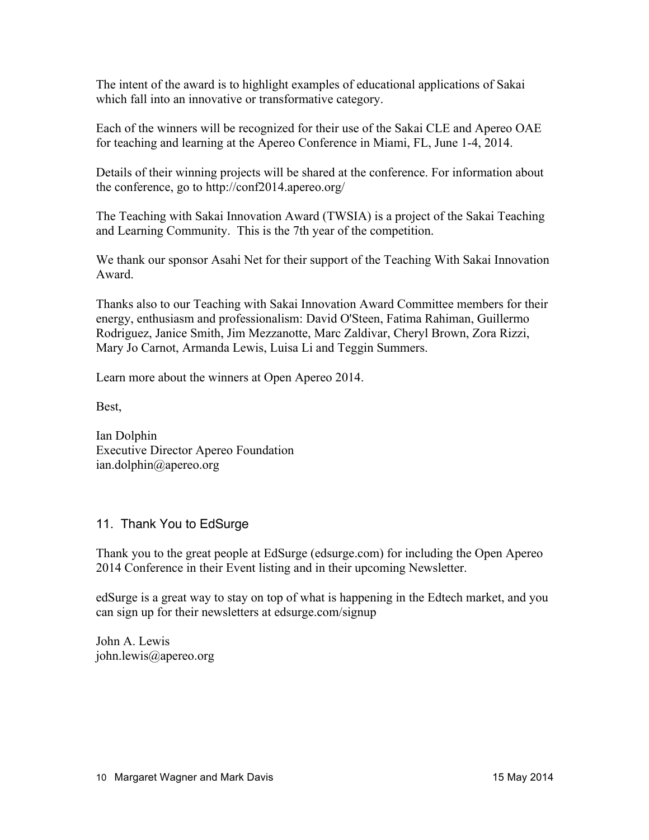The intent of the award is to highlight examples of educational applications of Sakai which fall into an innovative or transformative category.

Each of the winners will be recognized for their use of the Sakai CLE and Apereo OAE for teaching and learning at the Apereo Conference in Miami, FL, June 1-4, 2014.

Details of their winning projects will be shared at the conference. For information about the conference, go to http://conf2014.apereo.org/

The Teaching with Sakai Innovation Award (TWSIA) is a project of the Sakai Teaching and Learning Community. This is the 7th year of the competition.

We thank our sponsor Asahi Net for their support of the Teaching With Sakai Innovation Award.

Thanks also to our Teaching with Sakai Innovation Award Committee members for their energy, enthusiasm and professionalism: David O'Steen, Fatima Rahiman, Guillermo Rodriguez, Janice Smith, Jim Mezzanotte, Marc Zaldivar, Cheryl Brown, Zora Rizzi, Mary Jo Carnot, Armanda Lewis, Luisa Li and Teggin Summers.

Learn more about the winners at Open Apereo 2014.

Best,

Ian Dolphin Executive Director Apereo Foundation ian.dolphin@apereo.org

### 11. Thank You to EdSurge

Thank you to the great people at EdSurge (edsurge.com) for including the Open Apereo 2014 Conference in their Event listing and in their upcoming Newsletter.

edSurge is a great way to stay on top of what is happening in the Edtech market, and you can sign up for their newsletters at edsurge.com/signup

John A. Lewis john.lewis@apereo.org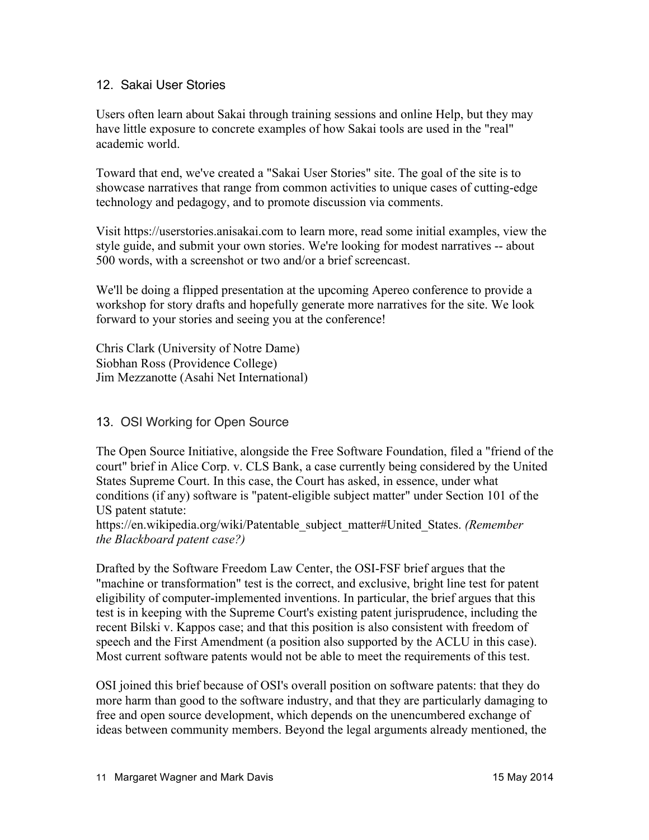#### 12. Sakai User Stories

Users often learn about Sakai through training sessions and online Help, but they may have little exposure to concrete examples of how Sakai tools are used in the "real" academic world.

Toward that end, we've created a "Sakai User Stories" site. The goal of the site is to showcase narratives that range from common activities to unique cases of cutting-edge technology and pedagogy, and to promote discussion via comments.

Visit https://userstories.anisakai.com to learn more, read some initial examples, view the style guide, and submit your own stories. We're looking for modest narratives -- about 500 words, with a screenshot or two and/or a brief screencast.

We'll be doing a flipped presentation at the upcoming Apereo conference to provide a workshop for story drafts and hopefully generate more narratives for the site. We look forward to your stories and seeing you at the conference!

Chris Clark (University of Notre Dame) Siobhan Ross (Providence College) Jim Mezzanotte (Asahi Net International)

### 13. OSI Working for Open Source

The Open Source Initiative, alongside the Free Software Foundation, filed a "friend of the court" brief in Alice Corp. v. CLS Bank, a case currently being considered by the United States Supreme Court. In this case, the Court has asked, in essence, under what conditions (if any) software is "patent-eligible subject matter" under Section 101 of the US patent statute:

https://en.wikipedia.org/wiki/Patentable\_subject\_matter#United\_States. *(Remember the Blackboard patent case?)*

Drafted by the Software Freedom Law Center, the OSI-FSF brief argues that the "machine or transformation" test is the correct, and exclusive, bright line test for patent eligibility of computer-implemented inventions. In particular, the brief argues that this test is in keeping with the Supreme Court's existing patent jurisprudence, including the recent Bilski v. Kappos case; and that this position is also consistent with freedom of speech and the First Amendment (a position also supported by the ACLU in this case). Most current software patents would not be able to meet the requirements of this test.

OSI joined this brief because of OSI's overall position on software patents: that they do more harm than good to the software industry, and that they are particularly damaging to free and open source development, which depends on the unencumbered exchange of ideas between community members. Beyond the legal arguments already mentioned, the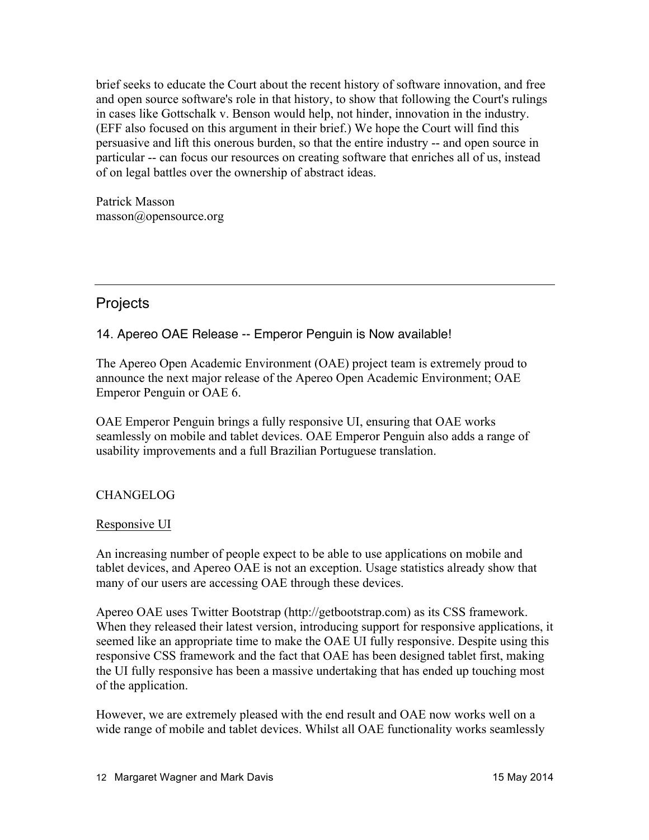brief seeks to educate the Court about the recent history of software innovation, and free and open source software's role in that history, to show that following the Court's rulings in cases like Gottschalk v. Benson would help, not hinder, innovation in the industry. (EFF also focused on this argument in their brief.) We hope the Court will find this persuasive and lift this onerous burden, so that the entire industry -- and open source in particular -- can focus our resources on creating software that enriches all of us, instead of on legal battles over the ownership of abstract ideas.

Patrick Masson masson@opensource.org

# **Projects**

### 14. Apereo OAE Release -- Emperor Penguin is Now available!

The Apereo Open Academic Environment (OAE) project team is extremely proud to announce the next major release of the Apereo Open Academic Environment; OAE Emperor Penguin or OAE 6.

OAE Emperor Penguin brings a fully responsive UI, ensuring that OAE works seamlessly on mobile and tablet devices. OAE Emperor Penguin also adds a range of usability improvements and a full Brazilian Portuguese translation.

### CHANGELOG

### Responsive UI

An increasing number of people expect to be able to use applications on mobile and tablet devices, and Apereo OAE is not an exception. Usage statistics already show that many of our users are accessing OAE through these devices.

Apereo OAE uses Twitter Bootstrap (http://getbootstrap.com) as its CSS framework. When they released their latest version, introducing support for responsive applications, it seemed like an appropriate time to make the OAE UI fully responsive. Despite using this responsive CSS framework and the fact that OAE has been designed tablet first, making the UI fully responsive has been a massive undertaking that has ended up touching most of the application.

However, we are extremely pleased with the end result and OAE now works well on a wide range of mobile and tablet devices. Whilst all OAE functionality works seamlessly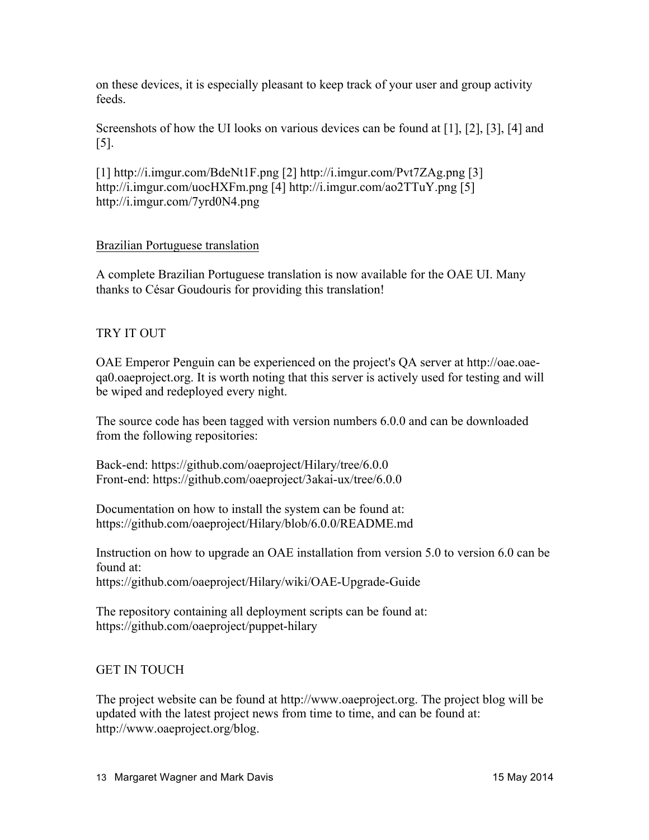on these devices, it is especially pleasant to keep track of your user and group activity feeds.

Screenshots of how the UI looks on various devices can be found at [1], [2], [3], [4] and [5].

[1] http://i.imgur.com/BdeNt1F.png [2] http://i.imgur.com/Pvt7ZAg.png [3] http://i.imgur.com/uocHXFm.png [4] http://i.imgur.com/ao2TTuY.png [5] http://i.imgur.com/7yrd0N4.png

### Brazilian Portuguese translation

A complete Brazilian Portuguese translation is now available for the OAE UI. Many thanks to César Goudouris for providing this translation!

### TRY IT OUT

OAE Emperor Penguin can be experienced on the project's QA server at http://oae.oaeqa0.oaeproject.org. It is worth noting that this server is actively used for testing and will be wiped and redeployed every night.

The source code has been tagged with version numbers 6.0.0 and can be downloaded from the following repositories:

Back-end: https://github.com/oaeproject/Hilary/tree/6.0.0 Front-end: https://github.com/oaeproject/3akai-ux/tree/6.0.0

Documentation on how to install the system can be found at: https://github.com/oaeproject/Hilary/blob/6.0.0/README.md

Instruction on how to upgrade an OAE installation from version 5.0 to version 6.0 can be found at: https://github.com/oaeproject/Hilary/wiki/OAE-Upgrade-Guide

The repository containing all deployment scripts can be found at: https://github.com/oaeproject/puppet-hilary

### GET IN TOUCH

The project website can be found at http://www.oaeproject.org. The project blog will be updated with the latest project news from time to time, and can be found at: http://www.oaeproject.org/blog.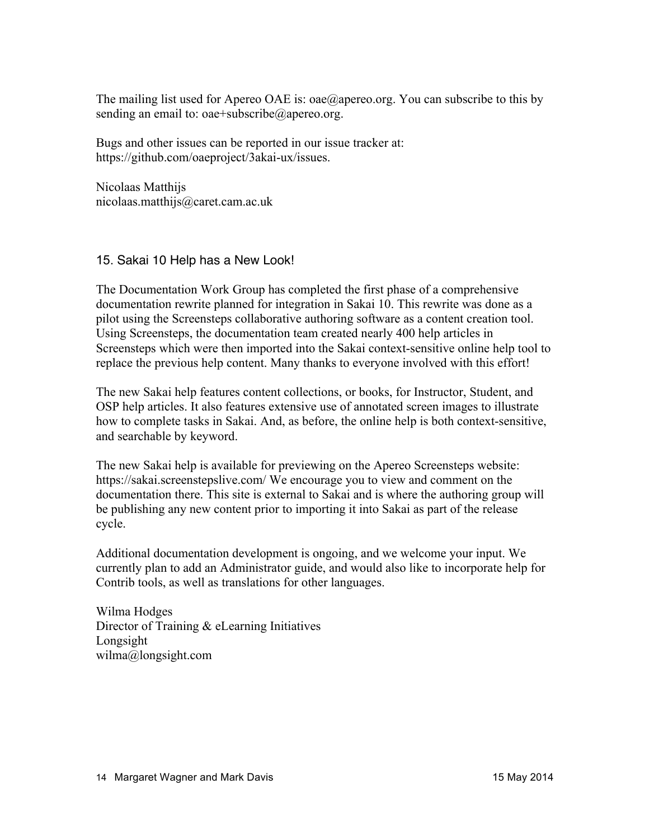The mailing list used for Apereo OAE is: oae@apereo.org. You can subscribe to this by sending an email to: oae+subscribe@apereo.org.

Bugs and other issues can be reported in our issue tracker at: https://github.com/oaeproject/3akai-ux/issues.

Nicolaas Matthijs nicolaas.matthijs@caret.cam.ac.uk

### 15. Sakai 10 Help has a New Look!

The Documentation Work Group has completed the first phase of a comprehensive documentation rewrite planned for integration in Sakai 10. This rewrite was done as a pilot using the Screensteps collaborative authoring software as a content creation tool. Using Screensteps, the documentation team created nearly 400 help articles in Screensteps which were then imported into the Sakai context-sensitive online help tool to replace the previous help content. Many thanks to everyone involved with this effort!

The new Sakai help features content collections, or books, for Instructor, Student, and OSP help articles. It also features extensive use of annotated screen images to illustrate how to complete tasks in Sakai. And, as before, the online help is both context-sensitive, and searchable by keyword.

The new Sakai help is available for previewing on the Apereo Screensteps website: https://sakai.screenstepslive.com/ We encourage you to view and comment on the documentation there. This site is external to Sakai and is where the authoring group will be publishing any new content prior to importing it into Sakai as part of the release cycle.

Additional documentation development is ongoing, and we welcome your input. We currently plan to add an Administrator guide, and would also like to incorporate help for Contrib tools, as well as translations for other languages.

Wilma Hodges Director of Training & eLearning Initiatives Longsight wilma@longsight.com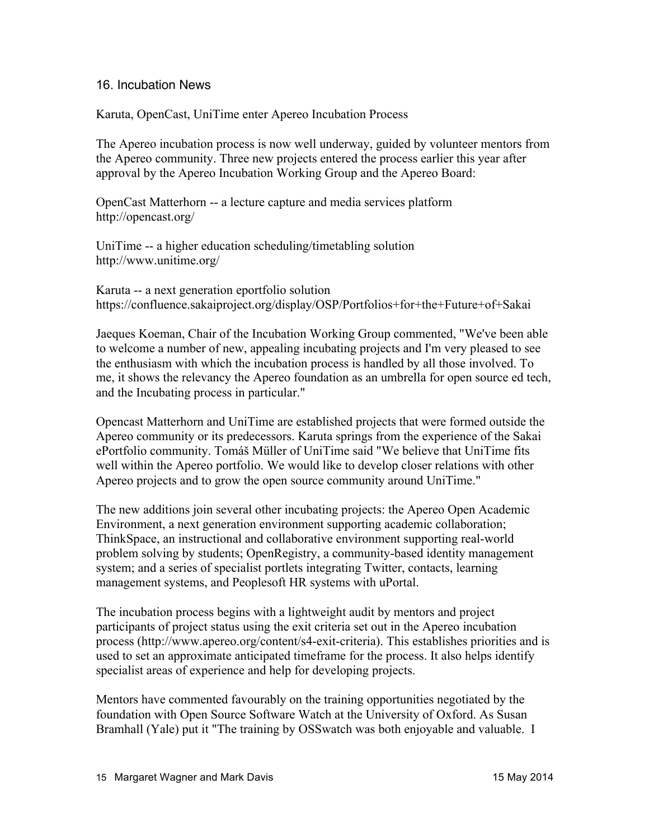#### 16. Incubation News

Karuta, OpenCast, UniTime enter Apereo Incubation Process

The Apereo incubation process is now well underway, guided by volunteer mentors from the Apereo community. Three new projects entered the process earlier this year after approval by the Apereo Incubation Working Group and the Apereo Board:

OpenCast Matterhorn -- a lecture capture and media services platform http://opencast.org/

UniTime -- a higher education scheduling/timetabling solution http://www.unitime.org/

Karuta -- a next generation eportfolio solution https://confluence.sakaiproject.org/display/OSP/Portfolios+for+the+Future+of+Sakai

Jaeques Koeman, Chair of the Incubation Working Group commented, "We've been able to welcome a number of new, appealing incubating projects and I'm very pleased to see the enthusiasm with which the incubation process is handled by all those involved. To me, it shows the relevancy the Apereo foundation as an umbrella for open source ed tech, and the Incubating process in particular."

Opencast Matterhorn and UniTime are established projects that were formed outside the Apereo community or its predecessors. Karuta springs from the experience of the Sakai ePortfolio community. Tomáš Müller of UniTime said "We believe that UniTime fits well within the Apereo portfolio. We would like to develop closer relations with other Apereo projects and to grow the open source community around UniTime."

The new additions join several other incubating projects: the Apereo Open Academic Environment, a next generation environment supporting academic collaboration; ThinkSpace, an instructional and collaborative environment supporting real-world problem solving by students; OpenRegistry, a community-based identity management system; and a series of specialist portlets integrating Twitter, contacts, learning management systems, and Peoplesoft HR systems with uPortal.

The incubation process begins with a lightweight audit by mentors and project participants of project status using the exit criteria set out in the Apereo incubation process (http://www.apereo.org/content/s4-exit-criteria). This establishes priorities and is used to set an approximate anticipated timeframe for the process. It also helps identify specialist areas of experience and help for developing projects.

Mentors have commented favourably on the training opportunities negotiated by the foundation with Open Source Software Watch at the University of Oxford. As Susan Bramhall (Yale) put it "The training by OSSwatch was both enjoyable and valuable. I